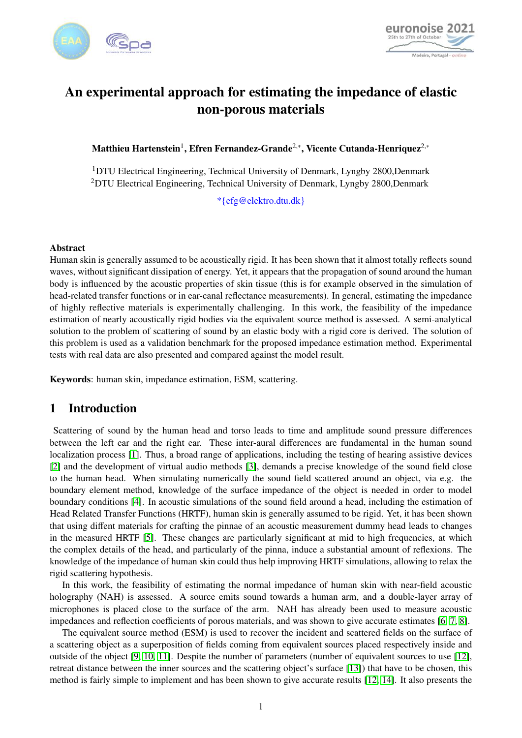



# An experimental approach for estimating the impedance of elastic non-porous materials

Matthieu Hartenstein $^1$ , Efren Fernandez-Grande $^{2,\ast}$ , Vicente Cutanda-Henriquez $^{2,\ast}$ 

<sup>1</sup>DTU Electrical Engineering, Technical University of Denmark, Lyngby 2800,Denmark <sup>2</sup>DTU Electrical Engineering, Technical University of Denmark, Lyngby 2800,Denmark

\*{efg@elektro.dtu.dk}

#### Abstract

Human skin is generally assumed to be acoustically rigid. It has been shown that it almost totally reflects sound waves, without significant dissipation of energy. Yet, it appears that the propagation of sound around the human body is influenced by the acoustic properties of skin tissue (this is for example observed in the simulation of head-related transfer functions or in ear-canal reflectance measurements). In general, estimating the impedance of highly reflective materials is experimentally challenging. In this work, the feasibility of the impedance estimation of nearly acoustically rigid bodies via the equivalent source method is assessed. A semi-analytical solution to the problem of scattering of sound by an elastic body with a rigid core is derived. The solution of this problem is used as a validation benchmark for the proposed impedance estimation method. Experimental tests with real data are also presented and compared against the model result.

Keywords: human skin, impedance estimation, ESM, scattering.

# 1 Introduction

Scattering of sound by the human head and torso leads to time and amplitude sound pressure differences between the left ear and the right ear. These inter-aural differences are fundamental in the human sound localization process [\[1\]](#page-8-0). Thus, a broad range of applications, including the testing of hearing assistive devices [\[2\]](#page-9-0) and the development of virtual audio methods [\[3\]](#page-9-1), demands a precise knowledge of the sound field close to the human head. When simulating numerically the sound field scattered around an object, via e.g. the boundary element method, knowledge of the surface impedance of the object is needed in order to model boundary conditions [\[4\]](#page-9-2). In acoustic simulations of the sound field around a head, including the estimation of Head Related Transfer Functions (HRTF), human skin is generally assumed to be rigid. Yet, it has been shown that using diffent materials for crafting the pinnae of an acoustic measurement dummy head leads to changes in the measured HRTF [\[5\]](#page-9-3). These changes are particularly significant at mid to high frequencies, at which the complex details of the head, and particularly of the pinna, induce a substantial amount of reflexions. The knowledge of the impedance of human skin could thus help improving HRTF simulations, allowing to relax the rigid scattering hypothesis.

In this work, the feasibility of estimating the normal impedance of human skin with near-field acoustic holography (NAH) is assessed. A source emits sound towards a human arm, and a double-layer array of microphones is placed close to the surface of the arm. NAH has already been used to measure acoustic impedances and reflection coefficients of porous materials, and was shown to give accurate estimates [\[6,](#page-9-4) [7,](#page-9-5) [8\]](#page-9-6).

The equivalent source method (ESM) is used to recover the incident and scattered fields on the surface of a scattering object as a superposition of fields coming from equivalent sources placed respectively inside and outside of the object [\[9,](#page-9-7) [10,](#page-9-8) [11\]](#page-9-9). Despite the number of parameters (number of equivalent sources to use [\[12\]](#page-9-10), retreat distance between the inner sources and the scattering object's surface [\[13\]](#page-9-11)) that have to be chosen, this method is fairly simple to implement and has been shown to give accurate results [\[12,](#page-9-10) [14\]](#page-9-12). It also presents the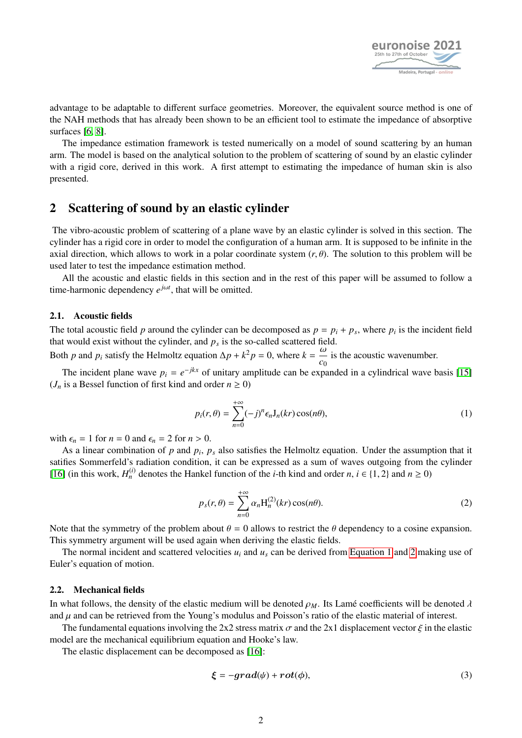

advantage to be adaptable to different surface geometries. Moreover, the equivalent source method is one of the NAH methods that has already been shown to be an efficient tool to estimate the impedance of absorptive surfaces [\[6,](#page-9-4) [8\]](#page-9-6).

The impedance estimation framework is tested numerically on a model of sound scattering by an human arm. The model is based on the analytical solution to the problem of scattering of sound by an elastic cylinder with a rigid core, derived in this work. A first attempt to estimating the impedance of human skin is also presented.

## <span id="page-1-3"></span>2 Scattering of sound by an elastic cylinder

The vibro-acoustic problem of scattering of a plane wave by an elastic cylinder is solved in this section. The cylinder has a rigid core in order to model the configuration of a human arm. It is supposed to be infinite in the axial direction, which allows to work in a polar coordinate system  $(r, \theta)$ . The solution to this problem will be used later to test the impedance estimation method.

All the acoustic and elastic fields in this section and in the rest of this paper will be assumed to follow a time-harmonic dependency  $e^{j\omega t}$ , that will be omitted.

#### 2.1. Acoustic fields

The total acoustic field *p* around the cylinder can be decomposed as  $p = p_i + p_s$ , where  $p_i$  is the incident field that would exist without the cylinder, and  $p_s$  is the so-called scattered field.

Both *p* and *p<sub>i</sub>* satisfy the Helmoltz equation  $\Delta p + k^2 p = 0$ , where  $k = \frac{\omega}{c_0}$  is the acoustic wavenumber.

<span id="page-1-0"></span>The incident plane wave  $p_i = e^{-jkx}$  of unitary amplitude can be expanded in a cylindrical wave basis [\[15\]](#page-9-13) (*J<sub>n</sub>* is a Bessel function of first kind and order  $n \ge 0$ )

$$
p_i(r,\theta) = \sum_{n=0}^{+\infty} (-j)^n \epsilon_n \mathbf{J}_n(kr) \cos(n\theta), \tag{1}
$$

with  $\epsilon_n = 1$  for  $n = 0$  and  $\epsilon_n = 2$  for  $n > 0$ .

<span id="page-1-1"></span>As a linear combination of  $p$  and  $p_i$ ,  $p_s$  also satisfies the Helmoltz equation. Under the assumption that it satifies Sommerfeld's radiation condition, it can be expressed as a sum of waves outgoing from the cylinder [\[16\]](#page-9-14) (in this work,  $H_n^{(i)}$  denotes the Hankel function of the *i*-th kind and order *n*,  $i \in \{1, 2\}$  and  $n \ge 0$ )

$$
p_s(r,\theta) = \sum_{n=0}^{+\infty} \alpha_n \mathcal{H}_n^{(2)}(kr) \cos(n\theta).
$$
 (2)

Note that the symmetry of the problem about  $\theta = 0$  allows to restrict the  $\theta$  dependency to a cosine expansion. This symmetry argument will be used again when deriving the elastic fields.

The normal incident and scattered velocities  $u_i$  and  $u_s$  can be derived from [Equation 1](#page-1-0) and [2](#page-1-1) making use of Euler's equation of motion.

#### 2.2. Mechanical fields

In what follows, the density of the elastic medium will be denoted  $\rho_M$ . Its Lamé coefficients will be denoted  $\lambda$ and  $\mu$  and can be retrieved from the Young's modulus and Poisson's ratio of the elastic material of interest.

The fundamental equations involving the 2x2 stress matrix  $\sigma$  and the 2x1 displacement vector  $\xi$  in the elastic model are the mechanical equilibrium equation and Hooke's law.

<span id="page-1-2"></span>The elastic displacement can be decomposed as [\[16\]](#page-9-14):

$$
\xi = -grad(\psi) + rot(\phi),\tag{3}
$$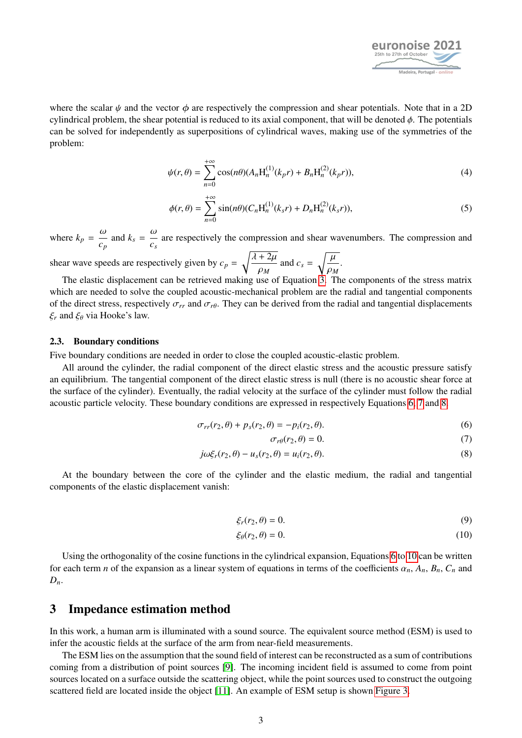

where the scalar  $\psi$  and the vector  $\phi$  are respectively the compression and shear potentials. Note that in a 2D cylindrical problem, the shear potential is reduced to its axial component, that will be denoted  $\phi$ . The potentials can be solved for independently as superpositions of cylindrical waves, making use of the symmetries of the problem:

$$
\psi(r,\theta) = \sum_{n=0}^{+\infty} \cos(n\theta)(A_n H_n^{(1)}(k_p r) + B_n H_n^{(2)}(k_p r)),
$$
\n(4)

$$
\phi(r,\theta) = \sum_{n=0}^{+\infty} \sin(n\theta)(C_n H_n^{(1)}(k_s r) + D_n H_n^{(2)}(k_s r)),
$$
\n(5)

where  $k_p = \frac{a}{c_p}$  and  $k_s = \frac{a}{c_s}$  are respectively the compression and shear wavenumbers. The compression and

shear wave speeds are respectively given by  $c_p =$  $\sqrt{\frac{\lambda + 2\mu}{a}}$ ρ*M* and  $c_s = \sqrt{\frac{\mu}{a}}$  $\frac{\rho_M}{\rm T}$ .

The elastic displacement can be retrieved making use of Equation [3.](#page-1-2) The components of the stress matrix which are needed to solve the coupled acoustic-mechanical problem are the radial and tangential components of the direct stress, respectively  $\sigma_{rr}$  and  $\sigma_{r\theta}$ . They can be derived from the radial and tangential displacements  $\xi_r$  and  $\xi_\theta$  via Hooke's law.

#### 2.3. Boundary conditions

Five boundary conditions are needed in order to close the coupled acoustic-elastic problem.

All around the cylinder, the radial component of the direct elastic stress and the acoustic pressure satisfy an equilibrium. The tangential component of the direct elastic stress is null (there is no acoustic shear force at the surface of the cylinder). Eventually, the radial velocity at the surface of the cylinder must follow the radial acoustic particle velocity. These boundary conditions are expressed in respectively Equations [6,](#page-2-0) [7](#page-2-1) and [8.](#page-2-2)

$$
\sigma_{rr}(r_2, \theta) + p_s(r_2, \theta) = -p_i(r_2, \theta). \tag{6}
$$

<span id="page-2-3"></span><span id="page-2-2"></span><span id="page-2-1"></span><span id="page-2-0"></span>
$$
\sigma_{r\theta}(r_2, \theta) = 0. \tag{7}
$$

$$
j\omega\xi_r(r_2,\theta)-u_s(r_2,\theta)=u_i(r_2,\theta).
$$
\n(8)

At the boundary between the core of the cylinder and the elastic medium, the radial and tangential components of the elastic displacement vanish:

$$
\xi_r(r_2, \theta) = 0. \tag{9}
$$

$$
\xi_{\theta}(r_2, \theta) = 0. \tag{10}
$$

Using the orthogonality of the cosine functions in the cylindrical expansion, Equations [6](#page-2-0) to [10](#page-2-3) can be written for each term *n* of the expansion as a linear system of equations in terms of the coefficients  $\alpha_n$ ,  $A_n$ ,  $B_n$ ,  $C_n$  and  $D_n$ .

### <span id="page-2-4"></span>3 Impedance estimation method

In this work, a human arm is illuminated with a sound source. The equivalent source method (ESM) is used to infer the acoustic fields at the surface of the arm from near-field measurements.

The ESM lies on the assumption that the sound field of interest can be reconstructed as a sum of contributions coming from a distribution of point sources [\[9\]](#page-9-7). The incoming incident field is assumed to come from point sources located on a surface outside the scattering object, while the point sources used to construct the outgoing scattered field are located inside the object [\[11\]](#page-9-9). An example of ESM setup is shown [Figure 3.](#page-5-0)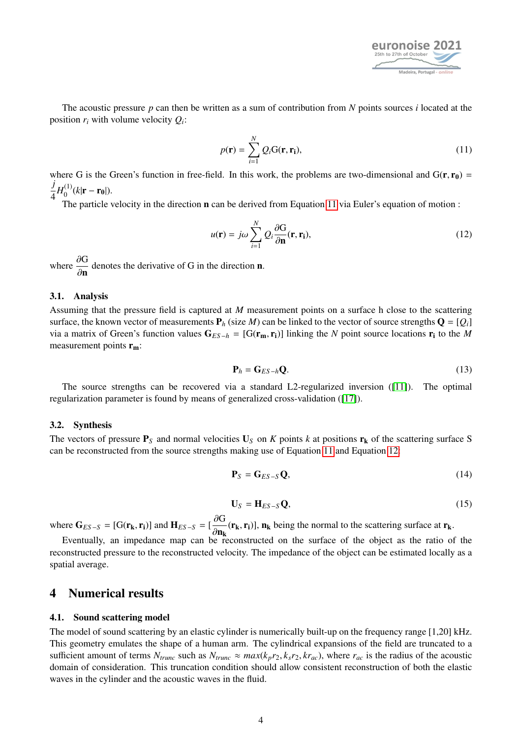

<span id="page-3-0"></span>The acoustic pressure *p* can then be written as a sum of contribution from *N* points sources *i* located at the position *r<sup>i</sup>* with volume velocity *Q<sup>i</sup>* :

$$
p(\mathbf{r}) = \sum_{i=1}^{N} Q_i G(\mathbf{r}, \mathbf{r_i}),
$$
\n(11)

where G is the Green's function in free-field. In this work, the problems are two-dimensional and  $G(\mathbf{r}, \mathbf{r_0}) =$ *j*  $\frac{J}{4}H_0^{(1)}$  $_{0}^{(1)}(k|\mathbf{r}-\mathbf{r_0}|).$ 

<span id="page-3-1"></span>The particle velocity in the direction **n** can be derived from Equation [11](#page-3-0) via Euler's equation of motion :

$$
u(\mathbf{r}) = j\omega \sum_{i=1}^{N} Q_i \frac{\partial G}{\partial \mathbf{n}}(\mathbf{r}, \mathbf{r_i}),
$$
\n(12)

where  $\frac{\partial G}{\partial \mathbf{r}}$  $\frac{\partial \mathbf{G}}{\partial \mathbf{n}}$  denotes the derivative of G in the direction **n**.

#### 3.1. Analysis

Assuming that the pressure field is captured at *M* measurement points on a surface h close to the scattering surface, the known vector of measurements  $P_h$  (size *M*) can be linked to the vector of source strengths  $Q = [Q_i]$ via a matrix of Green's function values  $G_{ES-h} = [G(\mathbf{r_m}, \mathbf{r_i})]$  linking the *N* point source locations  $\mathbf{r_i}$  to the *M* measurement points  $\mathbf{r_i}$ . measurement points  $\mathbf{r}_{\mathbf{m}}$ :

$$
\mathbf{P}_h = \mathbf{G}_{ES-h}\mathbf{Q}.\tag{13}
$$

The source strengths can be recovered via a standard L2-regularized inversion ([\[11\]](#page-9-9)). The optimal regularization parameter is found by means of generalized cross-validation ([\[17\]](#page-9-15)).

#### 3.2. Synthesis

The vectors of pressure  $P_S$  and normal velocities  $U_S$  on *K* points *k* at positions  $r_k$  of the scattering surface S can be reconstructed from the source strengths making use of Equation [11](#page-3-0) and Equation [12:](#page-3-1)

$$
\mathbf{P}_S = \mathbf{G}_{ES-S} \mathbf{Q},\tag{14}
$$

$$
\mathbf{U}_S = \mathbf{H}_{ES-S} \mathbf{Q},\tag{15}
$$

where  $G_{ES-S} = [G(\mathbf{r_k}, \mathbf{r_i})]$  and  $H_{ES-S} = [\frac{\partial G}{\partial \mathbf{n_k}}]$  $\frac{\partial \mathbf{G}}{\partial \mathbf{n}_k}(\mathbf{r}_k, \mathbf{r}_i)$ ,  $\mathbf{n}_k$  being the normal to the scattering surface at  $\mathbf{r}_k$ .<br>
e reconstructed on the surface of the object as the ratio of

Eventually, an impedance map can be reconstructed on the surface of the object as the ratio of the reconstructed pressure to the reconstructed velocity. The impedance of the object can be estimated locally as a spatial average.

### <span id="page-3-2"></span>4 Numerical results

### 4.1. Sound scattering model

The model of sound scattering by an elastic cylinder is numerically built-up on the frequency range [1,20] kHz. This geometry emulates the shape of a human arm. The cylindrical expansions of the field are truncated to a sufficient amount of terms  $N_{trunc}$  such as  $N_{trunc} \approx max(k_p r_2, k_s r_2, k r_{ac})$ , where  $r_{ac}$  is the radius of the acoustic domain of consideration. This truncation condition should allow consistent reconstruction of both the elastic waves in the cylinder and the acoustic waves in the fluid.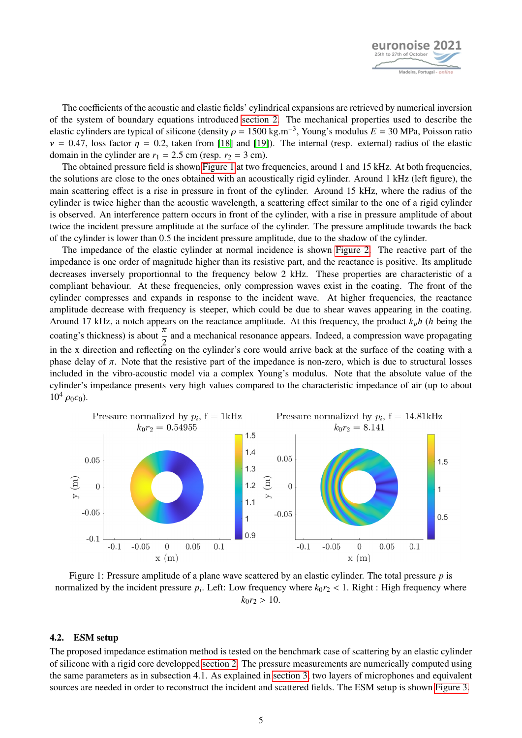

The coefficients of the acoustic and elastic fields' cylindrical expansions are retrieved by numerical inversion of the system of boundary equations introduced [section 2.](#page-1-3) The mechanical properties used to describe the elastic cylinders are typical of silicone (density  $\rho = 1500 \text{ kg.m}^{-3}$ , Young's modulus  $E = 30 \text{ MPa}$ , Poisson ratio  $v = 0.47$  loss factor  $n = 0.2$ , taken from [18] and [19]). The internal (resp. external) radius of the e  $v = 0.47$ , loss factor  $\eta = 0.2$ , taken from [\[18\]](#page-9-16) and [\[19\]](#page-9-17)). The internal (resp. external) radius of the elastic domain in the cylinder are  $r_1 = 2.5$  cm (resp.  $r_2 = 3$  cm).

The obtained pressure field is shown [Figure 1](#page-4-0) at two frequencies, around 1 and 15 kHz. At both frequencies, the solutions are close to the ones obtained with an acoustically rigid cylinder. Around 1 kHz (left figure), the main scattering effect is a rise in pressure in front of the cylinder. Around 15 kHz, where the radius of the cylinder is twice higher than the acoustic wavelength, a scattering effect similar to the one of a rigid cylinder is observed. An interference pattern occurs in front of the cylinder, with a rise in pressure amplitude of about twice the incident pressure amplitude at the surface of the cylinder. The pressure amplitude towards the back of the cylinder is lower than 0.5 the incident pressure amplitude, due to the shadow of the cylinder.

The impedance of the elastic cylinder at normal incidence is shown [Figure 2.](#page-5-1) The reactive part of the impedance is one order of magnitude higher than its resistive part, and the reactance is positive. Its amplitude decreases inversely proportionnal to the frequency below 2 kHz. These properties are characteristic of a compliant behaviour. At these frequencies, only compression waves exist in the coating. The front of the cylinder compresses and expands in response to the incident wave. At higher frequencies, the reactance amplitude decrease with frequency is steeper, which could be due to shear waves appearing in the coating. Around 17 kHz, a notch appears on the reactance amplitude. At this frequency, the product  $k_p h$  (*h* being the coating's thickness) is about  $\frac{1}{2}$  and a mechanical resonance appears. Indeed, a compression wave propagating in the x direction and reflecting on the cylinder's core would arrive back at the surface of the coating with a phase delay of  $\pi$ . Note that the resistive part of the impedance is non-zero, which is due to structural losses included in the vibro-acoustic model via a complex Young's modulus. Note that the absolute value of the cylinder's impedance presents very high values compared to the characteristic impedance of air (up to about  $10^4 \rho_0 c_0$ ).

<span id="page-4-0"></span>

Figure 1: Pressure amplitude of a plane wave scattered by an elastic cylinder. The total pressure *p* is normalized by the incident pressure  $p_i$ . Left: Low frequency where  $k_0r_2 < 1$ . Right : High frequency where  $k_0 r_2 > 10$ .

#### 4.2. ESM setup

The proposed impedance estimation method is tested on the benchmark case of scattering by an elastic cylinder of silicone with a rigid core developped [section 2.](#page-1-3) The pressure measurements are numerically computed using the same parameters as in subsection 4.1. As explained in [section 3,](#page-2-4) two layers of microphones and equivalent sources are needed in order to reconstruct the incident and scattered fields. The ESM setup is shown [Figure 3.](#page-5-0)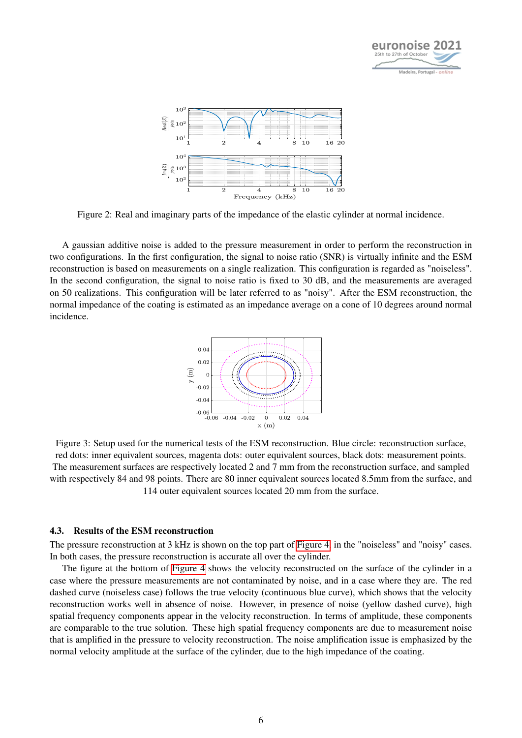

<span id="page-5-1"></span>

Figure 2: Real and imaginary parts of the impedance of the elastic cylinder at normal incidence.

<span id="page-5-0"></span>A gaussian additive noise is added to the pressure measurement in order to perform the reconstruction in two configurations. In the first configuration, the signal to noise ratio (SNR) is virtually infinite and the ESM reconstruction is based on measurements on a single realization. This configuration is regarded as "noiseless". In the second configuration, the signal to noise ratio is fixed to 30 dB, and the measurements are averaged on 50 realizations. This configuration will be later referred to as "noisy". After the ESM reconstruction, the normal impedance of the coating is estimated as an impedance average on a cone of 10 degrees around normal incidence.



Figure 3: Setup used for the numerical tests of the ESM reconstruction. Blue circle: reconstruction surface, red dots: inner equivalent sources, magenta dots: outer equivalent sources, black dots: measurement points. The measurement surfaces are respectively located 2 and 7 mm from the reconstruction surface, and sampled with respectively 84 and 98 points. There are 80 inner equivalent sources located 8.5mm from the surface, and 114 outer equivalent sources located 20 mm from the surface.

#### 4.3. Results of the ESM reconstruction

The pressure reconstruction at 3 kHz is shown on the top part of [Figure 4,](#page-6-0) in the "noiseless" and "noisy" cases. In both cases, the pressure reconstruction is accurate all over the cylinder.

The figure at the bottom of [Figure 4](#page-6-0) shows the velocity reconstructed on the surface of the cylinder in a case where the pressure measurements are not contaminated by noise, and in a case where they are. The red dashed curve (noiseless case) follows the true velocity (continuous blue curve), which shows that the velocity reconstruction works well in absence of noise. However, in presence of noise (yellow dashed curve), high spatial frequency components appear in the velocity reconstruction. In terms of amplitude, these components are comparable to the true solution. These high spatial frequency components are due to measurement noise that is amplified in the pressure to velocity reconstruction. The noise amplification issue is emphasized by the normal velocity amplitude at the surface of the cylinder, due to the high impedance of the coating.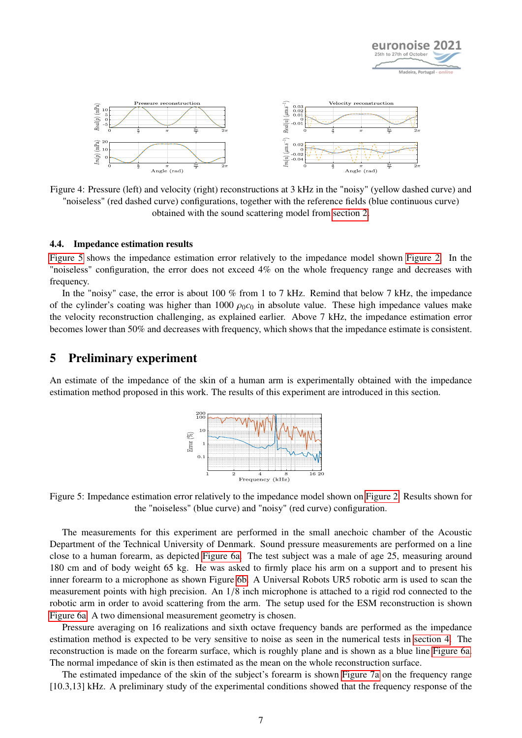

<span id="page-6-0"></span>

Figure 4: Pressure (left) and velocity (right) reconstructions at 3 kHz in the "noisy" (yellow dashed curve) and "noiseless" (red dashed curve) configurations, together with the reference fields (blue continuous curve) obtained with the sound scattering model from [section 2.](#page-1-3)

#### 4.4. Impedance estimation results

[Figure 5](#page-6-1) shows the impedance estimation error relatively to the impedance model shown [Figure 2.](#page-5-1) In the "noiseless" configuration, the error does not exceed 4% on the whole frequency range and decreases with frequency.

In the "noisy" case, the error is about 100 % from 1 to 7 kHz. Remind that below 7 kHz, the impedance of the cylinder's coating was higher than 1000  $\rho_0 c_0$  in absolute value. These high impedance values make the velocity reconstruction challenging, as explained earlier. Above 7 kHz, the impedance estimation error becomes lower than 50% and decreases with frequency, which shows that the impedance estimate is consistent.

### <span id="page-6-2"></span>5 Preliminary experiment

<span id="page-6-1"></span>An estimate of the impedance of the skin of a human arm is experimentally obtained with the impedance estimation method proposed in this work. The results of this experiment are introduced in this section.



Figure 5: Impedance estimation error relatively to the impedance model shown on [Figure 2.](#page-5-1) Results shown for the "noiseless" (blue curve) and "noisy" (red curve) configuration.

The measurements for this experiment are performed in the small anechoic chamber of the Acoustic Department of the Technical University of Denmark. Sound pressure measurements are performed on a line close to a human forearm, as depicted [Figure 6a.](#page-7-0) The test subject was a male of age 25, measuring around 180 cm and of body weight 65 kg. He was asked to firmly place his arm on a support and to present his inner forearm to a microphone as shown Figure [6b.](#page-7-0) A Universal Robots UR5 robotic arm is used to scan the measurement points with high precision. An 1/8 inch microphone is attached to a rigid rod connected to the robotic arm in order to avoid scattering from the arm. The setup used for the ESM reconstruction is shown [Figure 6a.](#page-7-0) A two dimensional measurement geometry is chosen.

Pressure averaging on 16 realizations and sixth octave frequency bands are performed as the impedance estimation method is expected to be very sensitive to noise as seen in the numerical tests in [section 4.](#page-3-2) The reconstruction is made on the forearm surface, which is roughly plane and is shown as a blue line [Figure 6a.](#page-7-0) The normal impedance of skin is then estimated as the mean on the whole reconstruction surface.

The estimated impedance of the skin of the subject's forearm is shown [Figure 7a](#page-7-1) on the frequency range [10.3,13] kHz. A preliminary study of the experimental conditions showed that the frequency response of the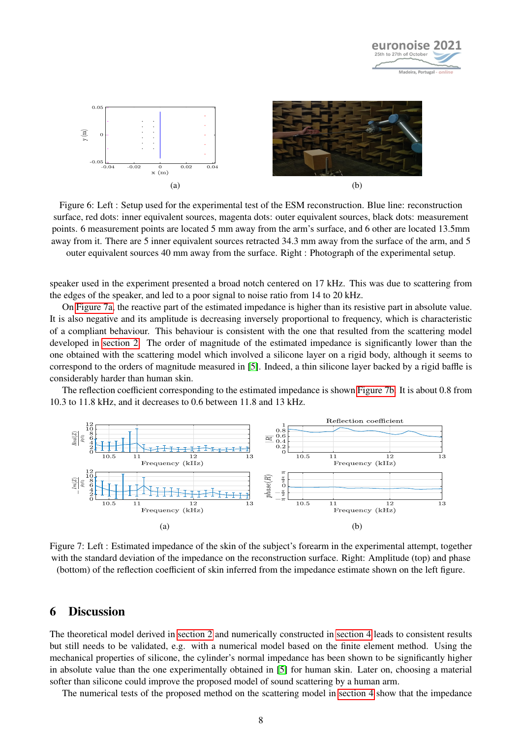

<span id="page-7-0"></span>

Figure 6: Left : Setup used for the experimental test of the ESM reconstruction. Blue line: reconstruction surface, red dots: inner equivalent sources, magenta dots: outer equivalent sources, black dots: measurement points. 6 measurement points are located 5 mm away from the arm's surface, and 6 other are located 13.5mm away from it. There are 5 inner equivalent sources retracted 34.3 mm away from the surface of the arm, and 5 outer equivalent sources 40 mm away from the surface. Right : Photograph of the experimental setup.

speaker used in the experiment presented a broad notch centered on 17 kHz. This was due to scattering from the edges of the speaker, and led to a poor signal to noise ratio from 14 to 20 kHz.

On [Figure 7a,](#page-7-1) the reactive part of the estimated impedance is higher than its resistive part in absolute value. It is also negative and its amplitude is decreasing inversely proportional to frequency, which is characteristic of a compliant behaviour. This behaviour is consistent with the one that resulted from the scattering model developed in [section 2.](#page-1-3) The order of magnitude of the estimated impedance is significantly lower than the one obtained with the scattering model which involved a silicone layer on a rigid body, although it seems to correspond to the orders of magnitude measured in [\[5\]](#page-9-3). Indeed, a thin silicone layer backed by a rigid baffle is considerably harder than human skin.

The reflection coefficient corresponding to the estimated impedance is shown [Figure 7b.](#page-7-1) It is about 0.8 from <sup>10</sup>.3 to 11.8 kHz, and it decreases to 0.6 between 11.8 and 13 kHz.

<span id="page-7-1"></span>

Figure 7: Left : Estimated impedance of the skin of the subject's forearm in the experimental attempt, together with the standard deviation of the impedance on the reconstruction surface. Right: Amplitude (top) and phase (bottom) of the reflection coefficient of skin inferred from the impedance estimate shown on the left figure.

### 6 Discussion

The theoretical model derived in [section 2](#page-1-3) and numerically constructed in [section 4](#page-3-2) leads to consistent results but still needs to be validated, e.g. with a numerical model based on the finite element method. Using the mechanical properties of silicone, the cylinder's normal impedance has been shown to be significantly higher in absolute value than the one experimentally obtained in [\[5\]](#page-9-3) for human skin. Later on, choosing a material softer than silicone could improve the proposed model of sound scattering by a human arm.

The numerical tests of the proposed method on the scattering model in [section 4](#page-3-2) show that the impedance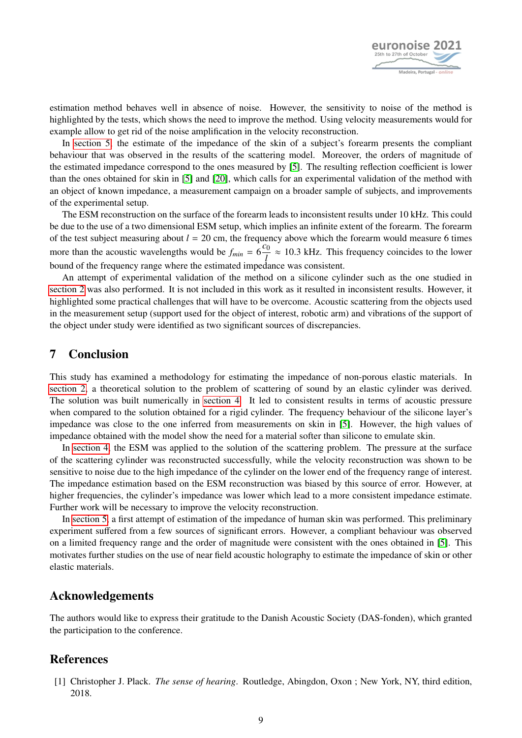

estimation method behaves well in absence of noise. However, the sensitivity to noise of the method is highlighted by the tests, which shows the need to improve the method. Using velocity measurements would for example allow to get rid of the noise amplification in the velocity reconstruction.

In [section 5,](#page-6-2) the estimate of the impedance of the skin of a subject's forearm presents the compliant behaviour that was observed in the results of the scattering model. Moreover, the orders of magnitude of the estimated impedance correspond to the ones measured by [\[5\]](#page-9-3). The resulting reflection coefficient is lower than the ones obtained for skin in [\[5\]](#page-9-3) and [\[20\]](#page-9-18), which calls for an experimental validation of the method with an object of known impedance, a measurement campaign on a broader sample of subjects, and improvements of the experimental setup.

The ESM reconstruction on the surface of the forearm leads to inconsistent results under 10 kHz. This could be due to the use of a two dimensional ESM setup, which implies an infinite extent of the forearm. The forearm of the test subject measuring about  $l = 20$  cm, the frequency above which the forearm would measure 6 times more than the acoustic wavelengths would be  $f_{min} = 6 \frac{c_0}{l}$  $\frac{\partial}{\partial l} \approx 10.3$  kHz. This frequency coincides to the lower bound of the frequency range where the estimated impedance was consistent.

An attempt of experimental validation of the method on a silicone cylinder such as the one studied in [section 2](#page-1-3) was also performed. It is not included in this work as it resulted in inconsistent results. However, it highlighted some practical challenges that will have to be overcome. Acoustic scattering from the objects used in the measurement setup (support used for the object of interest, robotic arm) and vibrations of the support of the object under study were identified as two significant sources of discrepancies.

# 7 Conclusion

This study has examined a methodology for estimating the impedance of non-porous elastic materials. In [section 2,](#page-1-3) a theoretical solution to the problem of scattering of sound by an elastic cylinder was derived. The solution was built numerically in [section 4.](#page-3-2) It led to consistent results in terms of acoustic pressure when compared to the solution obtained for a rigid cylinder. The frequency behaviour of the silicone layer's impedance was close to the one inferred from measurements on skin in [\[5\]](#page-9-3). However, the high values of impedance obtained with the model show the need for a material softer than silicone to emulate skin.

In [section 4,](#page-3-2) the ESM was applied to the solution of the scattering problem. The pressure at the surface of the scattering cylinder was reconstructed successfully, while the velocity reconstruction was shown to be sensitive to noise due to the high impedance of the cylinder on the lower end of the frequency range of interest. The impedance estimation based on the ESM reconstruction was biased by this source of error. However, at higher frequencies, the cylinder's impedance was lower which lead to a more consistent impedance estimate. Further work will be necessary to improve the velocity reconstruction.

In [section 5,](#page-6-2) a first attempt of estimation of the impedance of human skin was performed. This preliminary experiment suffered from a few sources of significant errors. However, a compliant behaviour was observed on a limited frequency range and the order of magnitude were consistent with the ones obtained in [\[5\]](#page-9-3). This motivates further studies on the use of near field acoustic holography to estimate the impedance of skin or other elastic materials.

# Acknowledgements

The authors would like to express their gratitude to the Danish Acoustic Society (DAS-fonden), which granted the participation to the conference.

# References

<span id="page-8-0"></span>[1] Christopher J. Plack. *The sense of hearing*. Routledge, Abingdon, Oxon ; New York, NY, third edition, 2018.